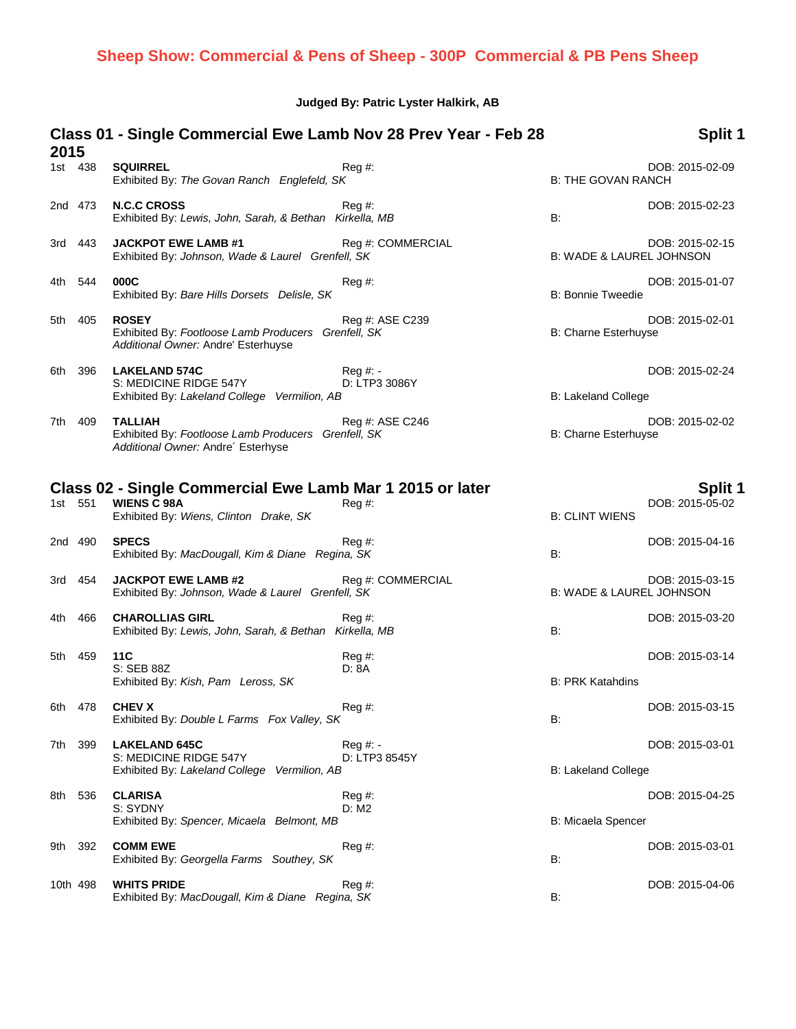#### **Judged By: Patric Lyster Halkirk, AB**

### **Class 01 - Single Commercial Ewe Lamb Nov 28 Prev Year - Feb 28 2015 Split 1** 1st 438 **SQUIRREL** Reg #: Reg #: Reg = Reg = Reg = Reg = Reg = Reg = Reg = Reg = Reg = Reg = Reg = Reg = Reg = R<br>B: THE GOVAN RANCH Exhibited By: *The Govan Ranch Englefeld*, SK Exhibited By: The Govan Ranch Englefeld, SK 2nd 473 **N.C.C CROSS** Reg #: DOB: 2015-02-23 Exhibited By: *Lewis, John, Sarah, & Bethan Kirkella, MB* B: 3rd 443 **JACKPOT EWE LAMB #1** Reg #: COMMERCIAL **Reg 2015-02-15**<br>Exhibited By: *Johnson, Wade & Laurel Grenfell, SK* B: WADE & LAUREL JOHNSON Exhibited By: Johnson, Wade & Laurel Grenfell, SK 4th 544 **000C** Reg #: DOB: 2015-01-07 Exhibited By: *Bare Hills Dorsets Delisle, SK* B: **Bonnie Tweedie** B: Bonnie Tweedie 5th 405 **ROSEY** Reg #: ASE C239 DOB: 2015-02-01 Exhibited By: *Footloose Lamb Producers Grenfell, SK* B: Charne Esterhuyse *Additional Owner:* Andre' Esterhuyse 6th 396 **LAKELAND 574C** Reg #: - DOB: 2015-02-24 S: MEDICINE RIDGE 547Y D: LTP3 3086Y Exhibited By: *Lakeland College Vermilion, AB* B: Lakeland College 7th 409 **TALLIAH** Reg #: ASE C246 DOB: 2015-02-02 Exhibited By: Footloose Lamb Producers Grenfell, SK B: Charne Esterhuyse *Additional Owner:* Andre´ Esterhyse **Class 02 - Single Commercial Ewe Lamb Mar 1 2015 or later Split 1** 1st 551 **WIENS C 98A** Reg #: DOB: 2015-05-02 Exhibited By: Wiens, Clinton Drake, SK 2nd 490 **SPECS** Reg #: DOB: 2015-04-16 Exhibited By: *MacDougall, Kim & Diane Regina, SK* B: 3rd 454 **JACKPOT EWE LAMB #2** Reg #: COMMERCIAL **Reg 2015-03-15**<br>Exhibited By: *Johnson, Wade & Laurel Grenfell, SK* B: WADE & LAUREL JOHNSON Exhibited By: Johnson, Wade & Laurel Grenfell, SK 4th 466 **CHAROLLIAS GIRL** Reg #: DOB: 2015-03-20 Exhibited By: *Lewis, John, Sarah, & Bethan Kirkella, MB* B: 5th 459 **11C** Reg #: DOB: 2015-03-14 S: SEB 88Z D: 8A Exhibited By: *Kish, Pam Leross, SK* B: PRK Katahdins 6th 478 **CHEV X Reg #:** Reg #: Reg +: Reg +: Reg +: Reg +: Reg +: Reg +: Reg +: Reg +: Reg +: Reg +: Reg +: Reg +: Reg +: Reg +: Reg +: Reg +: Reg +: Reg +: Reg +: Reg +: Reg +: Reg +: Reg +: Reg +: Reg +: Reg +: Reg +: Exhibited By: *Double L Farms Fox Valley, SK* B: 7th 399 **LAKELAND 645C** Reg #: - DOB: 2015-03-01 S: MEDICINE RIDGE 547Y D: LTP3 8545Y Exhibited By: *Lakeland College Vermilion, AB* B: Lakeland College 8th 536 **CLARISA** Reg #: DOB: 2015-04-25 S: SYDNY D: M2 Exhibited By: Spencer, Micaela Belmont, MB B: Micaela Spencer 9th 392 **COMM EWE** Reg #: DOB: 2015-03-01 Exhibited By: *Georgella Farms Southey, SK* B: 10th 498 **WHITS PRIDE** Reg #: DOB: 2015-04-06 Exhibited By: *MacDougall, Kim & Diane Regina, SK* B: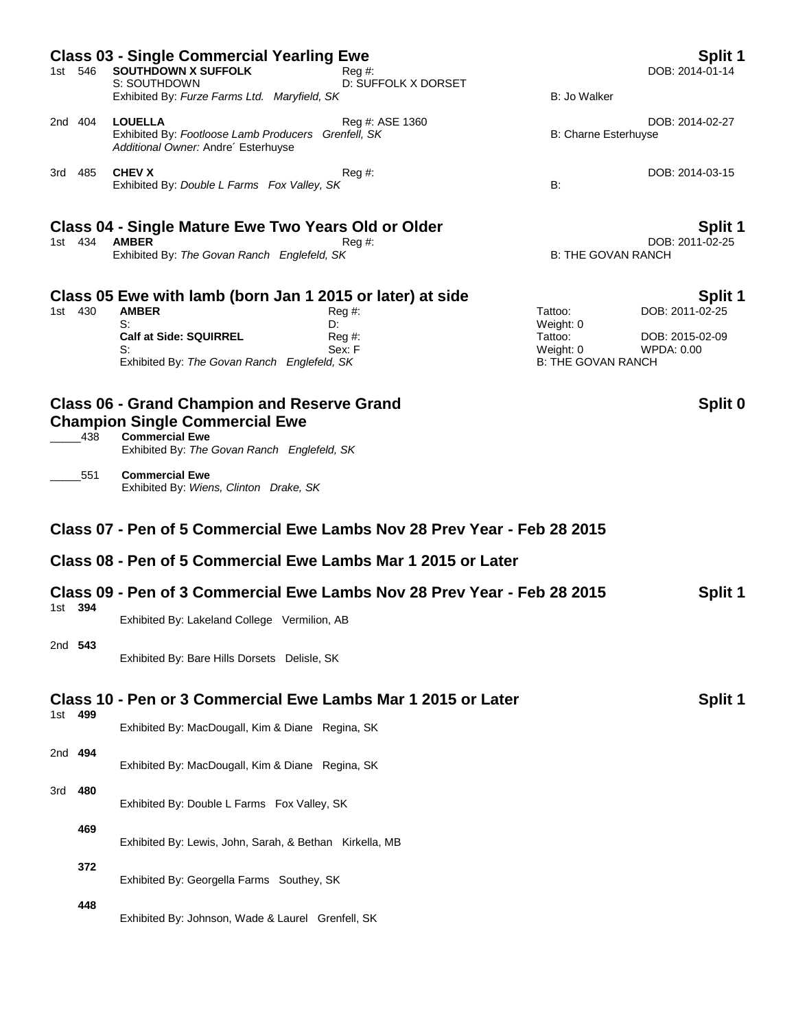| <b>Class 03 - Single Commercial Yearling Ewe</b><br>Split 1             |         |                                                                                            |                                                                         |                           |                 |  |  |
|-------------------------------------------------------------------------|---------|--------------------------------------------------------------------------------------------|-------------------------------------------------------------------------|---------------------------|-----------------|--|--|
| 1st 546                                                                 |         | <b>SOUTHDOWN X SUFFOLK</b>                                                                 | $\text{Reg }#$ :                                                        |                           | DOB: 2014-01-14 |  |  |
|                                                                         |         | S: SOUTHDOWN<br>Exhibited By: Furze Farms Ltd. Maryfield, SK                               | D: SUFFOLK X DORSET                                                     | B: Jo Walker              |                 |  |  |
| 2nd 404                                                                 |         | <b>LOUELLA</b>                                                                             | Reg #: ASE 1360                                                         |                           | DOB: 2014-02-27 |  |  |
|                                                                         |         | Exhibited By: Footloose Lamb Producers Grenfell, SK<br>Additional Owner: Andre' Esterhuyse |                                                                         | B: Charne Esterhuyse      |                 |  |  |
| 3rd 485                                                                 |         | <b>CHEV X</b>                                                                              | Reg#                                                                    |                           | DOB: 2014-03-15 |  |  |
|                                                                         |         | Exhibited By: Double L Farms Fox Valley, SK                                                |                                                                         | B:                        |                 |  |  |
| Class 04 - Single Mature Ewe Two Years Old or Older                     |         |                                                                                            |                                                                         |                           |                 |  |  |
| 1st 434                                                                 |         | <b>AMBER</b><br>$Reg#$ :                                                                   |                                                                         |                           | DOB: 2011-02-25 |  |  |
|                                                                         |         | Exhibited By: The Govan Ranch Englefeld, SK                                                |                                                                         | <b>B: THE GOVAN RANCH</b> |                 |  |  |
|                                                                         |         | Class 05 Ewe with lamb (born Jan 1 2015 or later) at side                                  |                                                                         |                           | Split 1         |  |  |
| 1st 430                                                                 |         | <b>AMBER</b>                                                                               | $Reg#$ :                                                                | Tattoo:                   | DOB: 2011-02-25 |  |  |
|                                                                         |         | S:<br><b>Calf at Side: SQUIRREL</b>                                                        | D:<br>Reg#                                                              | Weight: 0<br>Tattoo:      | DOB: 2015-02-09 |  |  |
|                                                                         |         | S:                                                                                         | Sex: F                                                                  | Weight: 0                 | WPDA: 0.00      |  |  |
|                                                                         |         | Exhibited By: The Govan Ranch Englefeld, SK                                                |                                                                         | <b>B: THE GOVAN RANCH</b> |                 |  |  |
|                                                                         |         | <b>Class 06 - Grand Champion and Reserve Grand</b>                                         |                                                                         |                           | Split 0         |  |  |
|                                                                         |         | <b>Champion Single Commercial Ewe</b>                                                      |                                                                         |                           |                 |  |  |
|                                                                         | 438     | <b>Commercial Ewe</b><br>Exhibited By: The Govan Ranch Englefeld, SK                       |                                                                         |                           |                 |  |  |
|                                                                         | 551     | <b>Commercial Ewe</b>                                                                      |                                                                         |                           |                 |  |  |
|                                                                         |         | Exhibited By: Wiens, Clinton Drake, SK                                                     |                                                                         |                           |                 |  |  |
|                                                                         |         |                                                                                            | Class 07 - Pen of 5 Commercial Ewe Lambs Nov 28 Prev Year - Feb 28 2015 |                           |                 |  |  |
|                                                                         |         | Class 08 - Pen of 5 Commercial Ewe Lambs Mar 1 2015 or Later                               |                                                                         |                           |                 |  |  |
| Class 09 - Pen of 3 Commercial Ewe Lambs Nov 28 Prev Year - Feb 28 2015 |         |                                                                                            |                                                                         |                           | Split 1         |  |  |
|                                                                         | 1st 394 | Exhibited By: Lakeland College Vermilion, AB                                               |                                                                         |                           |                 |  |  |
| 2nd 543                                                                 |         | Exhibited By: Bare Hills Dorsets Delisle, SK                                               |                                                                         |                           |                 |  |  |
|                                                                         |         |                                                                                            | Class 10 - Pen or 3 Commercial Ewe Lambs Mar 1 2015 or Later            |                           | Split 1         |  |  |
| 1st 499                                                                 |         |                                                                                            |                                                                         |                           |                 |  |  |
|                                                                         |         | Exhibited By: MacDougall, Kim & Diane Regina, SK                                           |                                                                         |                           |                 |  |  |
| 2nd 494                                                                 |         |                                                                                            |                                                                         |                           |                 |  |  |
|                                                                         |         | Exhibited By: MacDougall, Kim & Diane Regina, SK                                           |                                                                         |                           |                 |  |  |
| 3rd                                                                     | 480     |                                                                                            |                                                                         |                           |                 |  |  |
|                                                                         |         | Exhibited By: Double L Farms Fox Valley, SK                                                |                                                                         |                           |                 |  |  |
|                                                                         | 469     |                                                                                            |                                                                         |                           |                 |  |  |
|                                                                         |         | Exhibited By: Lewis, John, Sarah, & Bethan Kirkella, MB                                    |                                                                         |                           |                 |  |  |
|                                                                         | 372     |                                                                                            |                                                                         |                           |                 |  |  |
|                                                                         |         | Exhibited By: Georgella Farms Southey, SK                                                  |                                                                         |                           |                 |  |  |
|                                                                         | 448     |                                                                                            |                                                                         |                           |                 |  |  |
|                                                                         |         | Exhibited By: Johnson, Wade & Laurel Grenfell, SK                                          |                                                                         |                           |                 |  |  |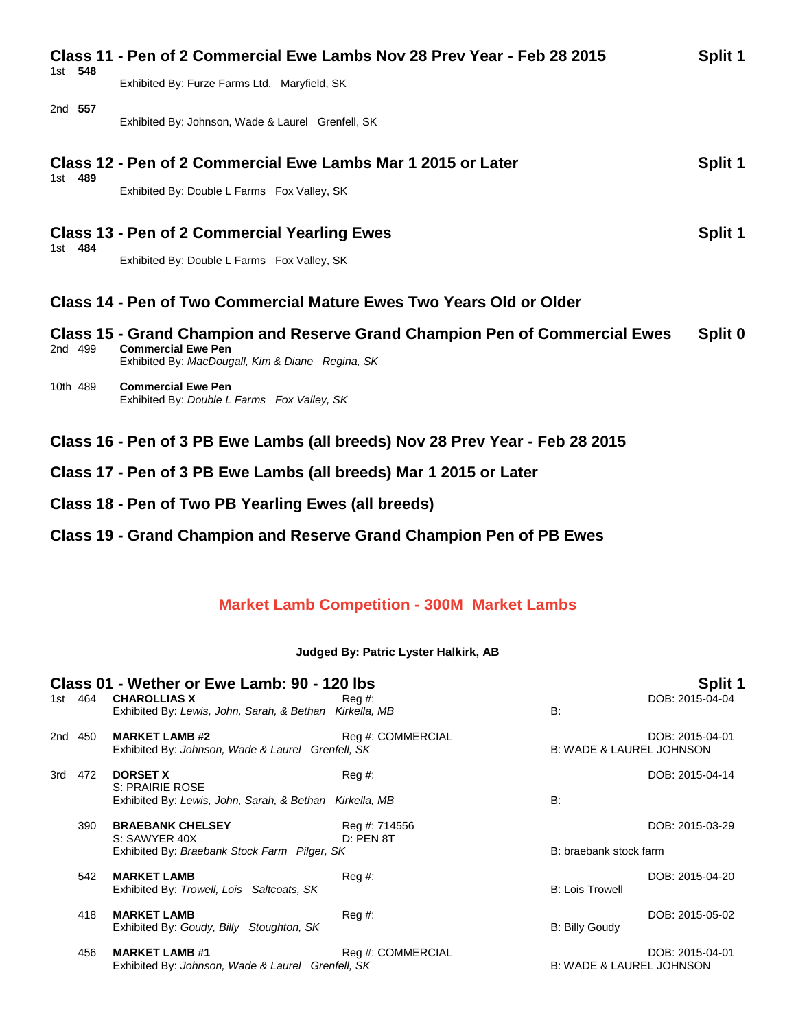|          | Class 11 - Pen of 2 Commercial Ewe Lambs Nov 28 Prev Year - Feb 28 2015                                                                                      | Split 1 |
|----------|--------------------------------------------------------------------------------------------------------------------------------------------------------------|---------|
| 1st 548  | Exhibited By: Furze Farms Ltd. Maryfield, SK                                                                                                                 |         |
| 2nd 557  | Exhibited By: Johnson, Wade & Laurel Grenfell, SK                                                                                                            |         |
|          | Class 12 - Pen of 2 Commercial Ewe Lambs Mar 1 2015 or Later                                                                                                 | Split 1 |
| 1st 489  | Exhibited By: Double L Farms Fox Valley, SK                                                                                                                  |         |
| 1st 484  | <b>Class 13 - Pen of 2 Commercial Yearling Ewes</b>                                                                                                          | Split 1 |
|          | Exhibited By: Double L Farms Fox Valley, SK                                                                                                                  |         |
|          | <b>Class 14 - Pen of Two Commercial Mature Ewes Two Years Old or Older</b>                                                                                   |         |
| 2nd 499  | Class 15 - Grand Champion and Reserve Grand Champion Pen of Commercial Ewes<br><b>Commercial Ewe Pen</b><br>Exhibited By: MacDougall, Kim & Diane Regina, SK | Split 0 |
| 10th 489 | <b>Commercial Ewe Pen</b><br>Exhibited By: Double L Farms Fox Valley, SK                                                                                     |         |
|          | Class 16 - Pen of 3 PB Ewe Lambs (all breeds) Nov 28 Prev Year - Feb 28 2015                                                                                 |         |
|          | Class 17 - Pen of 3 PB Ewe Lambs (all breeds) Mar 1 2015 or Later                                                                                            |         |
|          | Class 18 - Pen of Two PB Yearling Ewes (all breeds)                                                                                                          |         |

## **Class 19 - Grand Champion and Reserve Grand Champion Pen of PB Ewes**

# **Market Lamb Competition - 300M Market Lambs**

### **Judged By: Patric Lyster Halkirk, AB**

| Class 01 - Wether or Ewe Lamb: 90 - 120 lbs |         |                                                                                |                              | Split 1                             |                 |
|---------------------------------------------|---------|--------------------------------------------------------------------------------|------------------------------|-------------------------------------|-----------------|
|                                             | 1st 464 | <b>CHAROLLIAS X</b><br>Exhibited By: Lewis, John, Sarah, & Bethan Kirkella, MB | Reg #:                       | B:                                  | DOB: 2015-04-04 |
| 2nd 450                                     |         | <b>MARKET LAMB #2</b><br>Exhibited By: Johnson, Wade & Laurel Grenfell, SK     | Reg #: COMMERCIAL            | <b>B: WADE &amp; LAUREL JOHNSON</b> | DOB: 2015-04-01 |
| 3rd                                         | 472     | <b>DORSET X</b><br>S: PRAIRIE ROSE                                             | Reg#                         |                                     | DOB: 2015-04-14 |
|                                             |         | Exhibited By: Lewis, John, Sarah, & Bethan Kirkella, MB                        |                              | B:                                  |                 |
|                                             | 390     | <b>BRAEBANK CHELSEY</b><br>S: SAWYER 40X                                       | Reg #: 714556<br>$D:$ PEN 8T |                                     | DOB: 2015-03-29 |
|                                             |         | Exhibited By: Braebank Stock Farm Pilger, SK                                   |                              | B: braebank stock farm              |                 |
|                                             | 542     | <b>MARKET LAMB</b><br>Exhibited By: Trowell, Lois Saltcoats, SK                | $Reg \#$ :                   | <b>B: Lois Trowell</b>              | DOB: 2015-04-20 |
|                                             | 418     | <b>MARKET LAMB</b><br>Exhibited By: Goudy, Billy Stoughton, SK                 | $Reg \#$ :                   | B: Billy Goudy                      | DOB: 2015-05-02 |
|                                             | 456     | <b>MARKET LAMB #1</b><br>Exhibited By: Johnson, Wade & Laurel Grenfell, SK     | Reg #: COMMERCIAL            | <b>B: WADE &amp; LAUREL JOHNSON</b> | DOB: 2015-04-01 |